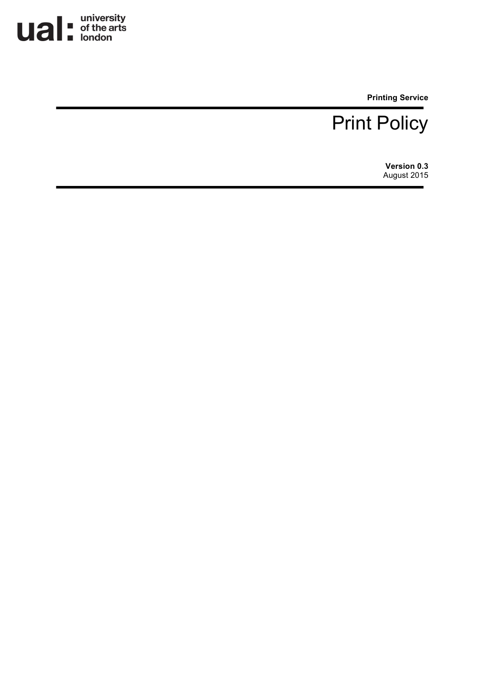

**Printing Service**

### Print Policy

**Version 0.3** August 2015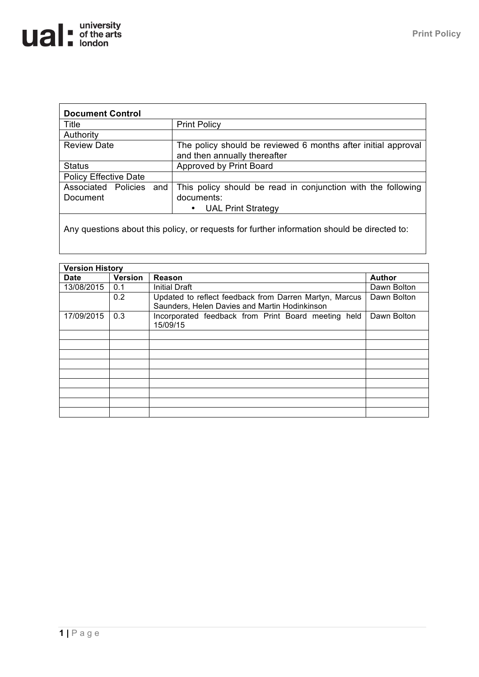| <b>Document Control</b>                |                                                                                                              |
|----------------------------------------|--------------------------------------------------------------------------------------------------------------|
| Title                                  | <b>Print Policy</b>                                                                                          |
| Authority                              |                                                                                                              |
| <b>Review Date</b>                     | The policy should be reviewed 6 months after initial approval<br>and then annually thereafter                |
| <b>Status</b>                          | Approved by Print Board                                                                                      |
| <b>Policy Effective Date</b>           |                                                                                                              |
| Associated Policies<br>and<br>Document | This policy should be read in conjunction with the following<br>documents:<br><b>UAL Print Strategy</b><br>٠ |
|                                        |                                                                                                              |

Any questions about this policy, or requests for further information should be directed to:

| <b>Version History</b> |                |                                                                                                         |               |
|------------------------|----------------|---------------------------------------------------------------------------------------------------------|---------------|
| <b>Date</b>            | <b>Version</b> | Reason                                                                                                  | <b>Author</b> |
| 13/08/2015             | 0.1            | <b>Initial Draft</b>                                                                                    | Dawn Bolton   |
|                        | 0.2            | Updated to reflect feedback from Darren Martyn, Marcus<br>Saunders, Helen Davies and Martin Hodinkinson | Dawn Bolton   |
| 17/09/2015             | 0.3            | Incorporated feedback from Print Board meeting held<br>15/09/15                                         | Dawn Bolton   |
|                        |                |                                                                                                         |               |
|                        |                |                                                                                                         |               |
|                        |                |                                                                                                         |               |
|                        |                |                                                                                                         |               |
|                        |                |                                                                                                         |               |
|                        |                |                                                                                                         |               |
|                        |                |                                                                                                         |               |
|                        |                |                                                                                                         |               |
|                        |                |                                                                                                         |               |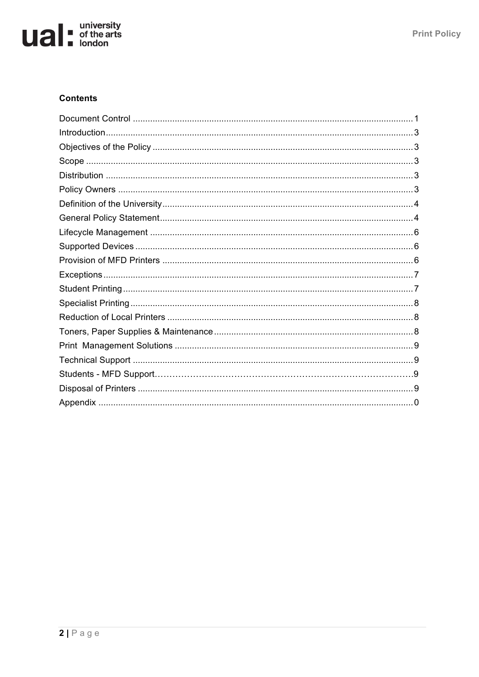# **university**<br> **uited**<br> **u**<br> **u**<br> **u**<br> **university**<br> **university**<br> **university**

### **Contents**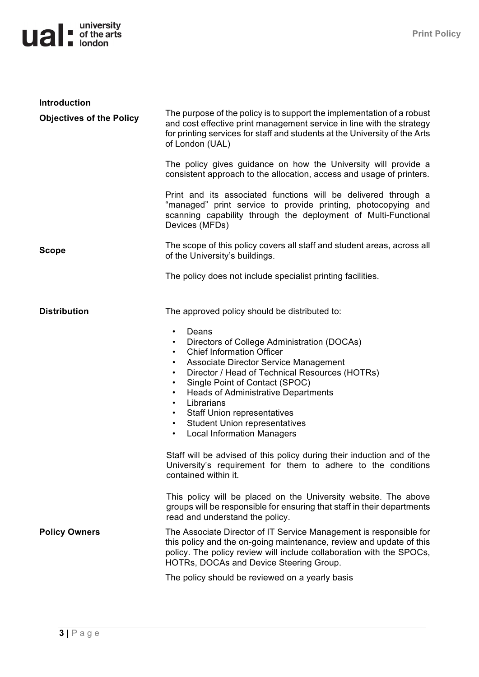# **university**<br> **uited**<br> **uited**<br> **u**<br> **university**<br> **university**<br> **university**

| <b>Introduction</b>             |                                                                                                                                                                                                                                                                                                                                                                                                                                                                                                                                                                                                                                                                                                                                                                                                                                    |
|---------------------------------|------------------------------------------------------------------------------------------------------------------------------------------------------------------------------------------------------------------------------------------------------------------------------------------------------------------------------------------------------------------------------------------------------------------------------------------------------------------------------------------------------------------------------------------------------------------------------------------------------------------------------------------------------------------------------------------------------------------------------------------------------------------------------------------------------------------------------------|
| <b>Objectives of the Policy</b> | The purpose of the policy is to support the implementation of a robust<br>and cost effective print management service in line with the strategy<br>for printing services for staff and students at the University of the Arts<br>of London (UAL)                                                                                                                                                                                                                                                                                                                                                                                                                                                                                                                                                                                   |
|                                 | The policy gives guidance on how the University will provide a<br>consistent approach to the allocation, access and usage of printers.                                                                                                                                                                                                                                                                                                                                                                                                                                                                                                                                                                                                                                                                                             |
|                                 | Print and its associated functions will be delivered through a<br>"managed" print service to provide printing, photocopying and<br>scanning capability through the deployment of Multi-Functional<br>Devices (MFDs)                                                                                                                                                                                                                                                                                                                                                                                                                                                                                                                                                                                                                |
| <b>Scope</b>                    | The scope of this policy covers all staff and student areas, across all<br>of the University's buildings.                                                                                                                                                                                                                                                                                                                                                                                                                                                                                                                                                                                                                                                                                                                          |
|                                 | The policy does not include specialist printing facilities.                                                                                                                                                                                                                                                                                                                                                                                                                                                                                                                                                                                                                                                                                                                                                                        |
| <b>Distribution</b>             | The approved policy should be distributed to:<br>Deans<br>$\bullet$<br>Directors of College Administration (DOCAs)<br>$\bullet$<br><b>Chief Information Officer</b><br>$\bullet$<br>Associate Director Service Management<br>$\bullet$<br>Director / Head of Technical Resources (HOTRs)<br>$\bullet$<br>Single Point of Contact (SPOC)<br>$\bullet$<br><b>Heads of Administrative Departments</b><br>٠<br>Librarians<br>$\bullet$<br><b>Staff Union representatives</b><br>$\bullet$<br><b>Student Union representatives</b><br>$\bullet$<br><b>Local Information Managers</b><br>$\bullet$<br>Staff will be advised of this policy during their induction and of the<br>University's requirement for them to adhere to the conditions<br>contained within it.<br>This policy will be placed on the University website. The above |
|                                 | groups will be responsible for ensuring that staff in their departments<br>read and understand the policy.                                                                                                                                                                                                                                                                                                                                                                                                                                                                                                                                                                                                                                                                                                                         |
| <b>Policy Owners</b>            | The Associate Director of IT Service Management is responsible for<br>this policy and the on-going maintenance, review and update of this<br>policy. The policy review will include collaboration with the SPOCs,<br>HOTRs, DOCAs and Device Steering Group.                                                                                                                                                                                                                                                                                                                                                                                                                                                                                                                                                                       |
|                                 | The policy should be reviewed on a yearly basis                                                                                                                                                                                                                                                                                                                                                                                                                                                                                                                                                                                                                                                                                                                                                                                    |

**3 |** Page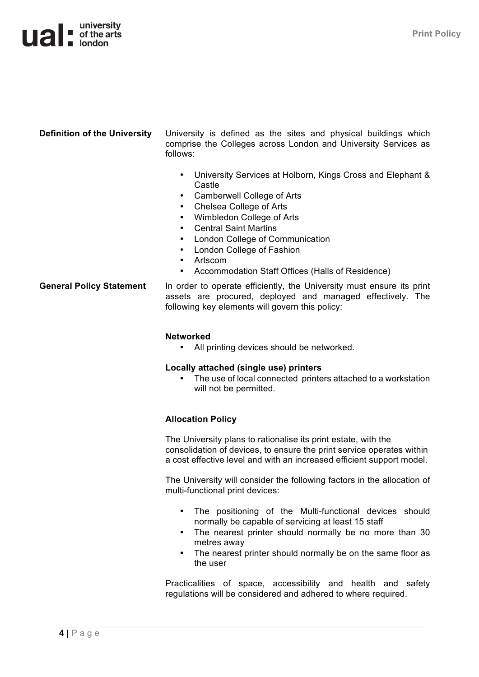### $\mathbf{u}$   $\mathbf{a}$   $\mathbf{b}$  of the arts

**Definition of the University** University is defined as the sites and physical buildings which comprise the Colleges across London and University Services as follows:

- University Services at Holborn, Kings Cross and Elephant & Castle
- Camberwell College of Arts
- Chelsea College of Arts
- Wimbledon College of Arts
- Central Saint Martins
- London College of Communication
- London College of Fashion
- Artscom
- Accommodation Staff Offices (Halls of Residence)

General Policy Statement In order to operate efficiently, the University must ensure its print assets are procured, deployed and managed effectively. The following key elements will govern this policy:

#### **Networked**

• All printing devices should be networked.

#### **Locally attached (single use) printers**

The use of local connected printers attached to a workstation will not be permitted.

#### **Allocation Policy**

The University plans to rationalise its print estate, with the consolidation of devices, to ensure the print service operates within a cost effective level and with an increased efficient support model.

The University will consider the following factors in the allocation of multi-functional print devices:

- The positioning of the Multi-functional devices should normally be capable of servicing at least 15 staff
- The nearest printer should normally be no more than 30 metres away
- The nearest printer should normally be on the same floor as the user

Practicalities of space, accessibility and health and safety regulations will be considered and adhered to where required.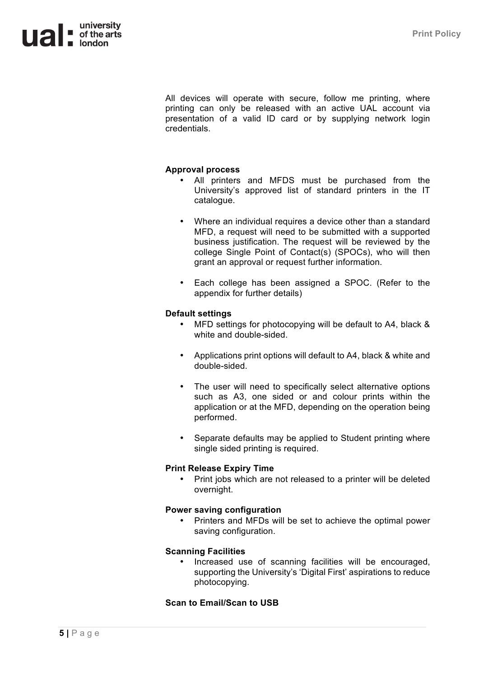

All devices will operate with secure, follow me printing, where printing can only be released with an active UAL account via presentation of a valid ID card or by supplying network login credentials.

#### **Approval process**

- All printers and MFDS must be purchased from the University's approved list of standard printers in the IT catalogue.
- Where an individual requires a device other than a standard MFD, a request will need to be submitted with a supported business justification. The request will be reviewed by the college Single Point of Contact(s) (SPOCs), who will then grant an approval or request further information.
- Each college has been assigned a SPOC. (Refer to the appendix for further details)

#### **Default settings**

- MFD settings for photocopying will be default to A4, black & white and double-sided.
- Applications print options will default to A4, black & white and double-sided.
- The user will need to specifically select alternative options such as A3, one sided or and colour prints within the application or at the MFD, depending on the operation being performed.
- Separate defaults may be applied to Student printing where single sided printing is required.

#### **Print Release Expiry Time**

• Print jobs which are not released to a printer will be deleted overnight.

#### **Power saving configuration**

• Printers and MFDs will be set to achieve the optimal power saving configuration.

#### **Scanning Facilities**

• Increased use of scanning facilities will be encouraged, supporting the University's 'Digital First' aspirations to reduce photocopying.

#### **Scan to Email/Scan to USB**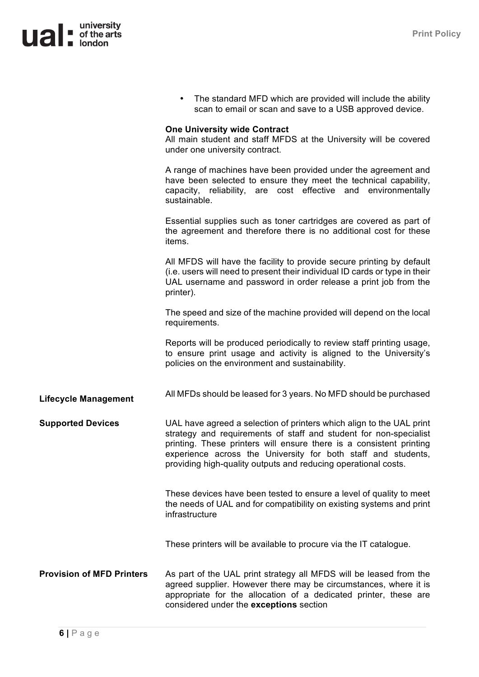

|                                  | The standard MFD which are provided will include the ability<br>scan to email or scan and save to a USB approved device.                                                                                                                                                                                                                            |
|----------------------------------|-----------------------------------------------------------------------------------------------------------------------------------------------------------------------------------------------------------------------------------------------------------------------------------------------------------------------------------------------------|
|                                  | <b>One University wide Contract</b><br>All main student and staff MFDS at the University will be covered<br>under one university contract.                                                                                                                                                                                                          |
|                                  | A range of machines have been provided under the agreement and<br>have been selected to ensure they meet the technical capability,<br>capacity, reliability, are cost effective and environmentally<br>sustainable.                                                                                                                                 |
|                                  | Essential supplies such as toner cartridges are covered as part of<br>the agreement and therefore there is no additional cost for these<br>items.                                                                                                                                                                                                   |
|                                  | All MFDS will have the facility to provide secure printing by default<br>(i.e. users will need to present their individual ID cards or type in their<br>UAL username and password in order release a print job from the<br>printer).                                                                                                                |
|                                  | The speed and size of the machine provided will depend on the local<br>requirements.                                                                                                                                                                                                                                                                |
|                                  | Reports will be produced periodically to review staff printing usage,<br>to ensure print usage and activity is aligned to the University's<br>policies on the environment and sustainability.                                                                                                                                                       |
| <b>Lifecycle Management</b>      | All MFDs should be leased for 3 years. No MFD should be purchased                                                                                                                                                                                                                                                                                   |
| <b>Supported Devices</b>         | UAL have agreed a selection of printers which align to the UAL print<br>strategy and requirements of staff and student for non-specialist<br>printing. These printers will ensure there is a consistent printing<br>experience across the University for both staff and students,<br>providing high-quality outputs and reducing operational costs. |
|                                  | These devices have been tested to ensure a level of quality to meet<br>the needs of UAL and for compatibility on existing systems and print<br>infrastructure                                                                                                                                                                                       |
|                                  | These printers will be available to procure via the IT catalogue.                                                                                                                                                                                                                                                                                   |
| <b>Provision of MFD Printers</b> | As part of the UAL print strategy all MFDS will be leased from the<br>agreed supplier. However there may be circumstances, where it is<br>appropriate for the allocation of a dedicated printer, these are<br>considered under the exceptions section                                                                                               |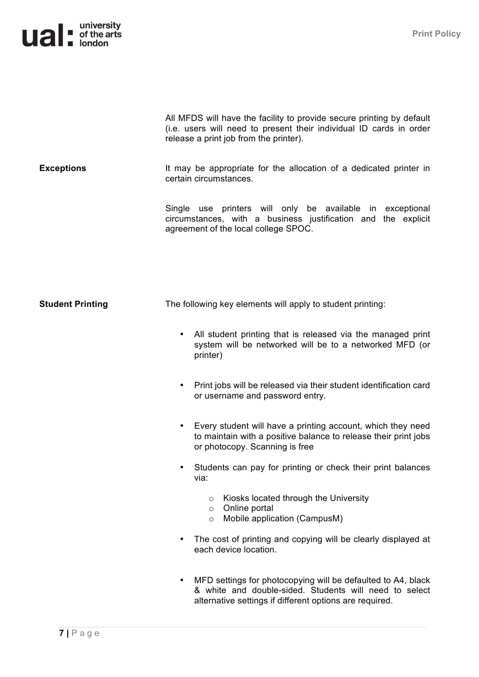### **university**<br> **uited**<br> **uited**<br> **u**<br> **university**<br> **university**<br> **university**

|                         | All MFDS will have the facility to provide secure printing by default<br>(i.e. users will need to present their individual ID cards in order<br>release a print job from the printer). |
|-------------------------|----------------------------------------------------------------------------------------------------------------------------------------------------------------------------------------|
| <b>Exceptions</b>       | It may be appropriate for the allocation of a dedicated printer in<br>certain circumstances.                                                                                           |
|                         | Single use printers will only be available in exceptional<br>circumstances, with a business justification and the explicit<br>agreement of the local college SPOC.                     |
|                         |                                                                                                                                                                                        |
| <b>Student Printing</b> | The following key elements will apply to student printing:                                                                                                                             |
|                         | All student printing that is released via the managed print<br>system will be networked will be to a networked MFD (or<br>printer)                                                     |
|                         | Print jobs will be released via their student identification card<br>or username and password entry.                                                                                   |
|                         | Every student will have a printing account, which they need<br>to maintain with a positive balance to release their print jobs<br>or photocopy. Scanning is free                       |
|                         | Students can pay for printing or check their print balances<br>via:                                                                                                                    |
|                         | Kiosks located through the University<br>$\circ$<br>Online portal<br>$\circ$<br>Mobile application (CampusM)<br>$\circ$                                                                |
|                         | The cost of printing and copying will be clearly displayed at<br>each device location.                                                                                                 |
|                         | MFD settings for photocopying will be defaulted to A4, black<br>& white and double-sided. Students will need to select<br>alternative settings if different options are required.      |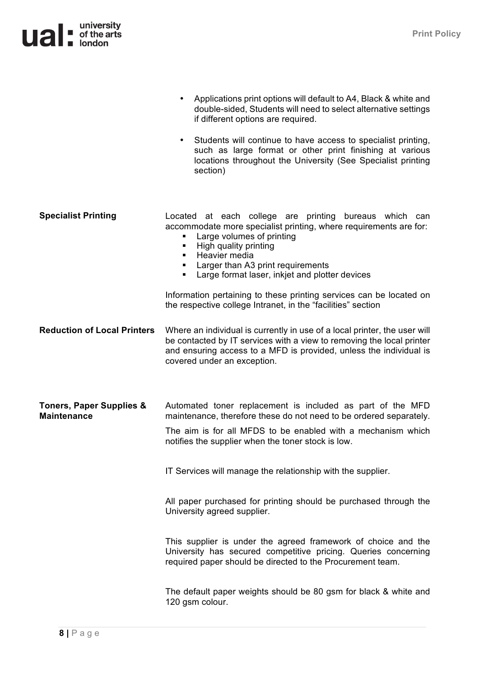|                                                           | Applications print options will default to A4, Black & white and<br>$\bullet$<br>double-sided, Students will need to select alternative settings<br>if different options are required.<br>Students will continue to have access to specialist printing,<br>$\bullet$<br>such as large format or other print finishing at various<br>locations throughout the University (See Specialist printing<br>section)                                                                                                                                                                                                                                                                                                     |
|-----------------------------------------------------------|------------------------------------------------------------------------------------------------------------------------------------------------------------------------------------------------------------------------------------------------------------------------------------------------------------------------------------------------------------------------------------------------------------------------------------------------------------------------------------------------------------------------------------------------------------------------------------------------------------------------------------------------------------------------------------------------------------------|
| <b>Specialist Printing</b>                                | Located at each college are printing bureaus which can<br>accommodate more specialist printing, where requirements are for:<br>Large volumes of printing<br>High quality printing<br>٠<br>Heavier media<br>٠<br>Larger than A3 print requirements<br>٠<br>Large format laser, inkjet and plotter devices<br>٠<br>Information pertaining to these printing services can be located on<br>the respective college Intranet, in the "facilities" section                                                                                                                                                                                                                                                             |
| <b>Reduction of Local Printers</b>                        | Where an individual is currently in use of a local printer, the user will<br>be contacted by IT services with a view to removing the local printer<br>and ensuring access to a MFD is provided, unless the individual is<br>covered under an exception.                                                                                                                                                                                                                                                                                                                                                                                                                                                          |
| <b>Toners, Paper Supplies &amp;</b><br><b>Maintenance</b> | Automated toner replacement is included as part of the MFD<br>maintenance, therefore these do not need to be ordered separately.<br>The aim is for all MFDS to be enabled with a mechanism which<br>notifies the supplier when the toner stock is low.<br>IT Services will manage the relationship with the supplier.<br>All paper purchased for printing should be purchased through the<br>University agreed supplier.<br>This supplier is under the agreed framework of choice and the<br>University has secured competitive pricing. Queries concerning<br>required paper should be directed to the Procurement team.<br>The default paper weights should be 80 gsm for black & white and<br>120 gsm colour. |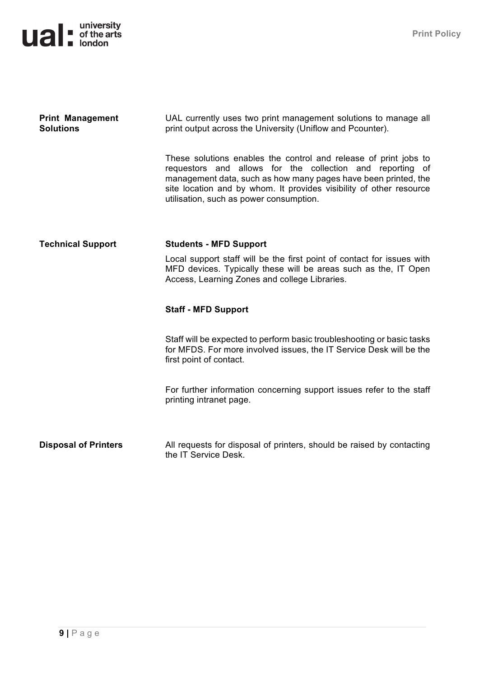## **university**<br> **uited**<br> **u**<br> **u**<br> **u**<br> **university**<br> **university**<br> **university**

| <b>Print Management</b><br><b>Solutions</b> | UAL currently uses two print management solutions to manage all<br>print output across the University (Uniflow and Pcounter).                                                                                                                                                                                     |
|---------------------------------------------|-------------------------------------------------------------------------------------------------------------------------------------------------------------------------------------------------------------------------------------------------------------------------------------------------------------------|
|                                             | These solutions enables the control and release of print jobs to<br>requestors and allows for the collection and reporting of<br>management data, such as how many pages have been printed, the<br>site location and by whom. It provides visibility of other resource<br>utilisation, such as power consumption. |
| <b>Technical Support</b>                    | <b>Students - MFD Support</b>                                                                                                                                                                                                                                                                                     |
|                                             | Local support staff will be the first point of contact for issues with<br>MFD devices. Typically these will be areas such as the, IT Open<br>Access, Learning Zones and college Libraries.                                                                                                                        |
|                                             | <b>Staff - MFD Support</b>                                                                                                                                                                                                                                                                                        |
|                                             | Staff will be expected to perform basic troubleshooting or basic tasks<br>for MFDS. For more involved issues, the IT Service Desk will be the<br>first point of contact.                                                                                                                                          |
|                                             | For further information concerning support issues refer to the staff<br>printing intranet page.                                                                                                                                                                                                                   |
| <b>Disposal of Printers</b>                 | All requests for disposal of printers, should be raised by contacting                                                                                                                                                                                                                                             |
|                                             | the IT Service Desk.                                                                                                                                                                                                                                                                                              |